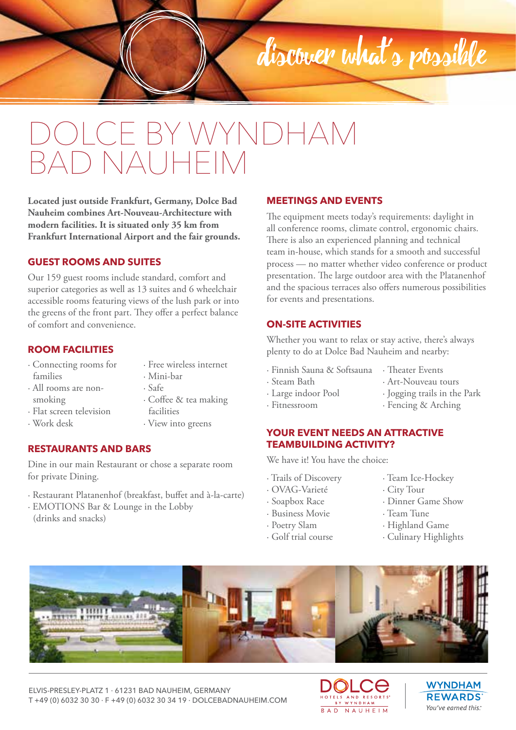# CE BY WYNDHAM D NAUHFIM

**Located just outside Frankfurt, Germany, Dolce Bad Nauheim combines Art-Nouveau-Architecture with modern facilities. It is situated only 35 km from Frankfurt International Airport and the fair grounds.**

### **GUEST ROOMS AND SUITES**

Our 159 guest rooms include standard, comfort and superior categories as well as 13 suites and 6 wheelchair accessible rooms featuring views of the lush park or into the greens of the front part. They offer a perfect balance of comfort and convenience.

### **ROOM FACILITIES**

- · Connecting rooms for families · All rooms are non-
- · Free wireless internet
- · Mini-bar
	- · Safe
	- · Coffee & tea making facilities · View into greens
- · Flat screen television · Work desk

smoking

**RESTAURANTS AND BARS**

Dine in our main Restaurant or chose a separate room for private Dining.

- · Restaurant Platanenhof (breakfast, buffet and à-la-carte)
- · EMOTIONS Bar & Lounge in the Lobby (drinks and snacks)

#### **MEETINGS AND EVENTS**

The equipment meets today's requirements: daylight in all conference rooms, climate control, ergonomic chairs. There is also an experienced planning and technical team in-house, which stands for a smooth and successful process — no matter whether video conference or product presentation. The large outdoor area with the Platanenhof and the spacious terraces also offers numerous possibilities for events and presentations.

discover what's possible

### **ON-SITE ACTIVITIES**

Whether you want to relax or stay active, there's always plenty to do at Dolce Bad Nauheim and nearby:

- · Finnish Sauna & Softsauna · Theater Events
- · Steam Bath
- · Art-Nouveau tours · Jogging trails in the Park
- · Large indoor Pool
- · Fitnessroom
- **YOUR EVENT NEEDS AN ATTRACTIVE TEAMBUILDING ACTIVITY?**

We have it! You have the choice:

- · Trails of Discovery
- · OVAG-Varieté
- · Soapbox Race
- · Business Movie
- · Poetry Slam
- · Golf trial course
- · Team Ice-Hockey

· Fencing & Arching

- · City Tour
- · Dinner Game Show
- · Team Tune
- · Highland Game
- · Culinary Highlights

ELVIS-PRESLEY-PLATZ 1 · 61231 BAD NAUHEIM, GERMANY T +49 (0) 6032 30 30 · F +49 (0) 6032 30 34 19 · DOLCEBADNAUHEIM.COM



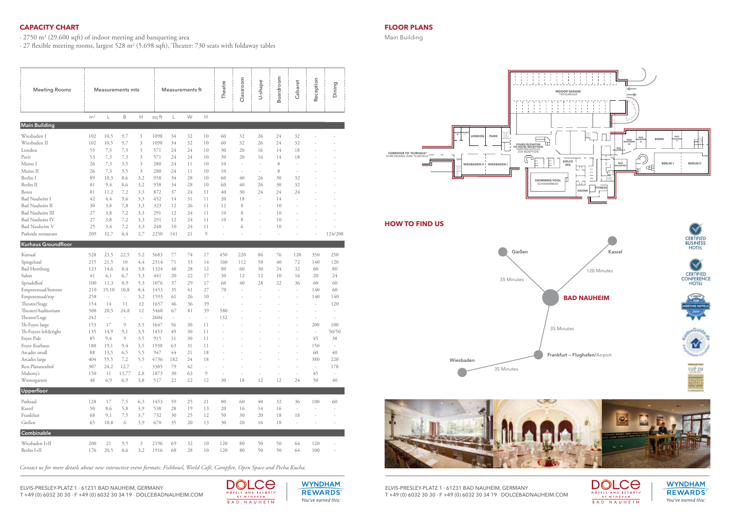## **CAPACITY CHART**

 $\cdot$  2750 m<sup>2</sup> (29.600 sqft) of indoor meeting and banqueting area

 $\cdot$  27 flexible meeting rooms, largest 528 m² (5.698 sqft), Theater: 730 seats with foldaway tables

| <b>Meeting Rooms</b>   |                | <b>Measurements mts</b>  |       |                          |       | <b>Measurements ft</b>   |    |    |     | Classroom | U-shape                  | Boardroom | Cabaret | Reception | Dining  |
|------------------------|----------------|--------------------------|-------|--------------------------|-------|--------------------------|----|----|-----|-----------|--------------------------|-----------|---------|-----------|---------|
|                        | m <sup>2</sup> | L                        | B     | Н                        | sq ft | L                        | W  | Н  |     |           |                          |           |         |           |         |
| <b>Main Building</b>   |                |                          |       |                          |       |                          |    |    |     |           |                          |           |         |           |         |
| Wiesbaden I            | 102            | 10,5                     | 9,7   | 3                        | 1098  | 34                       | 32 | 10 | 60  | 32        | 26                       | 24        | 32      |           |         |
| Wiesbaden II           | 102            | 10,5                     | 9,7   | 3                        | 1098  | 34                       | 32 | 10 | 60  | 32        | 26                       | 24        | 32      |           |         |
| London                 | 53             | 7,3                      | 7,3   | 3                        | 571   | 24                       | 24 | 10 | 30  | 20        | 16                       | 14        | 18      |           |         |
| Paris                  | 53             | 7,3                      | 7,3   | 3                        | 571   | 24                       | 24 | 10 | 30  | 20        | 16                       | 14        | 18      |           |         |
| Mainz I                | 26             | 7,3                      | 3,5   | 3                        | 280   | 24                       | 11 | 10 | 10  | ÷,        | ×                        | 8         | ä,      |           |         |
| Mainz II               | 26             | 7,3                      | 3,5   | 3                        | 280   | 24                       | 11 | 10 | 10  | ÷,        | $\overline{\phantom{a}}$ | 8         | ÷,      |           |         |
| Berlin I               | 89             | 10,3                     | 8,6   | 3,2                      | 958   | 34                       | 28 | 10 | 60  | 40        | 26                       | 30        | 32      |           |         |
| Berlin II              | 81             | 9,4                      | 8,6   | 3,2                      | 958   | 34                       | 28 | 10 | 60  | 40        | 26                       | 30        | 32      |           |         |
| Bonn                   | 81             | 11,2                     | 7,2   | 3,3                      | 872   | 37                       | 24 | 11 | 40  | 30        | 24                       | 24        | 24      |           |         |
| Bad Nauheim I          | 42             | 4,4                      | 9,6   | 3,3                      | 452   | 14                       | 31 | 11 | 20  | 18        |                          | 14        |         |           |         |
| <b>Bad Nauheim II</b>  | 30             | 3,8                      | 7,8   | 3,3                      | 323   | 12                       | 26 | 11 | 12  | 8         |                          | 10        |         |           |         |
| <b>Bad Nauheim III</b> | 27             | 3,8                      | 7,2   | 3,3                      | 291   | 12                       | 24 | 11 | 10  | 8         | ÷                        | 10        |         |           |         |
| <b>Bad Nauheim IV</b>  | 27             | 3,8                      | 7,2   | 3,3                      | 291   | 12                       | 24 | 11 | 10  | 8         |                          | 10        |         |           |         |
| <b>Bad Nauheim V</b>   | 25             | 3,4                      | 7,2   | 3,3                      | 248   | 10                       | 24 | 11 |     | 6         |                          | 10        |         |           |         |
| Parkside restaurant    | 209            | 32,7                     | 6,4   | 2,7                      | 2250  | 141                      | 21 | 9  |     |           |                          |           |         |           | 124/200 |
| Kurhaus Groundfloor    |                |                          |       |                          |       |                          |    |    |     |           |                          |           |         |           |         |
| Kursaal                | 528            | 23,5                     | 22,5  | 5,2                      | 5683  | 77                       | 74 | 17 | 450 | 220       | 86                       | 76        | 120     | 350       | 250     |
| Spiegelsaal            | 215            | 21,5                     | 10    | 4,4                      | 2314  | 71                       | 33 | 14 | 160 | 112       | 50                       | 40        | 72      | 140       | 120     |
| <b>Bad Homburg</b>     | 123            | 14,6                     | 8,4   | 3,8                      | 1324  | 48                       | 28 | 12 | 80  | 60        | 30                       | 24        | 32      | 60        | 80      |
| Salon                  | 41             | 6,1                      | 6,7   | 5,3                      | 441   | 20                       | 22 | 17 | 30  | 12        | 12                       | 10        | 16      | 20        | 24      |
| Sprudelhof             | 100            | 11,3                     | 8,9   | 5,3                      | 1076  | 37                       | 29 | 17 | 60  | 40        | 28                       | 22        | 36      | 60        | 60      |
| Emporensaal/bottom     | 210            | 19,10                    | 10,8  | 8,4                      | 1453  | 35                       | 41 | 27 | 70  | J.        | ł.                       | J.        |         | 140       | 60      |
| Emporensaal/top        | 258            | $\overline{\phantom{a}}$ | ä,    | 3,2                      | 1593  | 61                       | 26 | 10 | ÷,  |           |                          |           |         | 140       | 140     |
| Theatre/Stage          | 154            | 14                       | 11    | 12                       | 1657  | 46                       | 36 | 39 | ÷,  |           |                          |           |         |           | 120     |
| Theater/Auditorium     | 508            | 20,5                     | 24,8  | 12                       | 5468  | 67                       | 81 | 39 | 580 |           |                          |           |         | ÷,        | J.      |
| Theater/Loge           | 242            | $\overline{\phantom{a}}$ | i,    | $\overline{\phantom{a}}$ | 2604  | $\overline{\phantom{a}}$ | ÷, | ÷, | 132 |           |                          |           |         | ÷,        | ł,      |
| Th-Foyer large         | 153            | 17                       | 9     | 3,5                      | 1647  | 56                       | 30 | 11 | J.  |           |                          |           |         | 200       | 100     |
| Th-Foyers left&right   | 135            | 14,9                     | 9,1   | 3,5                      | 1453  | 49                       | 30 | 11 | J.  |           |                          |           |         | ×,        | 50/50   |
| Foyer Pub              | 85             | 9,4                      | 9     | 3,5                      | 915   | 31                       | 30 | 11 |     |           |                          |           |         | 45        | 38      |
| Foyer Kurhaus          | 180            | 19,1                     | 9,4   | 3,5                      | 1938  | 63                       | 31 | 11 |     |           |                          |           |         | 150       | ä,      |
| Arcades small          | 88             | 13,5                     | 6,5   | 5,5                      | 947   | 44                       | 21 | 18 |     |           |                          |           |         | 60        | 40      |
| Arcades large          | 404            | 55,5                     | 7,2   | 5,5                      | 4736  | 182                      | 24 | 18 |     |           |                          |           |         | 380       | 220     |
| Rest.Platanenhof       | 307            | 24,2                     | 12,7  | $\overline{\phantom{a}}$ | 3305  | 79                       | 42 | ÷, |     |           |                          |           | ÷,      | ÷.        | 178     |
| Mahony's               | 150            | 11                       | 13,77 | 2,8                      | 1873  | 30                       | 63 | 9  | ÷   | ł,        |                          | ł,        | ł,      | 45        | ÷,      |
| Wintergarten           | 48             | 6,9                      | 6,9   | 3,8                      | 517   | 22                       | 22 | 12 | 30  | 18        | 12                       | 12        | 24      | 50        | 40      |
| Upperfloor             |                |                          |       |                          |       |                          |    |    |     |           |                          |           |         |           |         |
| Parksaal               | 128            | 17                       | 7,5   | 6,3                      | 1453  | 59                       | 25 | 21 | 80  | 60        | 40                       | 32        | 36      | 100       | 60      |
| Kassel                 | 50             | 8,6                      | 5,8   | 3,9                      | 538   | 28                       | 19 | 13 | 20  | 16        | 14                       | 16        | ł,      |           |         |
| Frankfurt              | 68             | 9,1                      | 7,5   | 3,7                      | 732   | 30                       | 25 | 12 | 50  | 30        | 20                       | 18        | 18      |           |         |
| Gießen                 | 65             | 10,8                     | 6     | 3,9                      | 670   | 35                       | 20 | 13 | 30  | 20        | 16                       | 18        | ł,      |           |         |
| <b>Combinable</b>      |                |                          |       |                          |       |                          |    |    |     |           |                          |           |         |           |         |
| Wiesbaden I+II         | 200            | 21                       | 9,5   | $\mathfrak{Z}$           | 2196  | 69                       | 32 | 10 | 120 | 80        | 50                       | 50        | 64      | 120       |         |
| Berlin I+II            | 176            | 20,5                     | 8,6   | 3,2                      | 1916  | 68                       | 28 | 10 | 120 | 80        | 50                       | 50        | 64      | 100       |         |

*Contact us for more details about new interactive event formats: Fishbowl, World Café, Campfire, Open Space and Pecha Kucha.*



## **FLOOR PLANS**

Main Building









ELVIS-PRESLEY-PLATZ 1 · 61231 BAD NAUHEIM, GERMANY T +49 (0) 6032 30 30 · F +49 (0) 6032 30 34 19 · DOLCEBADNAUHEIM.COM



**WYNDHAM REWARDS** You've earned this.